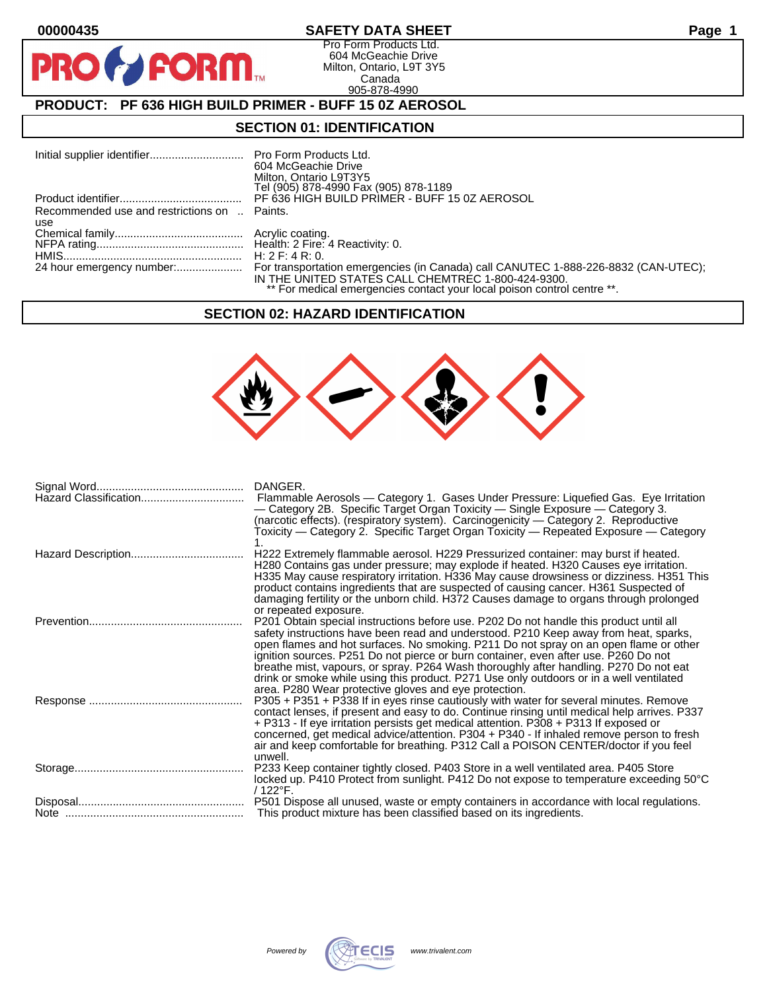$\bullet$ 

PF

# **00000435 SAFETY DATA SHEET Page 1**

Pro Form Products Ltd. 604 McGeachie Drive Milton, Ontario, L9T 3Y5 Canada 905-878-4990

# **PRODUCT: PF 636 HIGH BUILD PRIMER - BUFF 15 0Z AEROSOL**

**FORM** 

#### **SECTION 01: IDENTIFICATION**

|                                              | 604 McGeachie Drive<br>Milton, Ontario L9T3Y5<br>Tel (905) 878-4990 Fax (905) 878-1189                                        |
|----------------------------------------------|-------------------------------------------------------------------------------------------------------------------------------|
|                                              | PF 636 HIGH BUILD PRIMER - BUFF 15 0Z AEROSOL                                                                                 |
| Recommended use and restrictions on  Paints. |                                                                                                                               |
| use                                          |                                                                                                                               |
|                                              |                                                                                                                               |
|                                              |                                                                                                                               |
|                                              |                                                                                                                               |
|                                              | IN THE UNITED STATES CALL CHEMTREC 1-800-424-9300.<br>** For medical emergencies contact your local poison control centre **. |

#### **SECTION 02: HAZARD IDENTIFICATION**



| Hazard Classification | DANGER.<br>Flammable Aerosols — Category 1. Gases Under Pressure: Liquefied Gas. Eye Irritation<br>— Category 2B. Specific Target Organ Toxicity — Single Exposure — Category 3.<br>(narcotic effects). (respiratory system). Carcinogenicity - Category 2. Reproductive<br>Toxicity — Category 2. Specific Target Organ Toxicity — Repeated Exposure — Category                                                                                                                                                                                                                                            |
|-----------------------|-------------------------------------------------------------------------------------------------------------------------------------------------------------------------------------------------------------------------------------------------------------------------------------------------------------------------------------------------------------------------------------------------------------------------------------------------------------------------------------------------------------------------------------------------------------------------------------------------------------|
|                       | H222 Extremely flammable aerosol. H229 Pressurized container: may burst if heated.<br>H280 Contains gas under pressure; may explode if heated. H320 Causes eye irritation.<br>H335 May cause respiratory irritation. H336 May cause drowsiness or dizziness. H351 This<br>product contains ingredients that are suspected of causing cancer. H361 Suspected of<br>damaging fertility or the unborn child. H372 Causes damage to organs through prolonged<br>or repeated exposure.                                                                                                                           |
|                       | P201 Obtain special instructions before use. P202 Do not handle this product until all<br>safety instructions have been read and understood. P210 Keep away from heat, sparks,<br>open flames and hot surfaces. No smoking. P211 Do not spray on an open flame or other<br>ignition sources. P251 Do not pierce or burn container, even after use. P260 Do not<br>breathe mist, vapours, or spray. P264 Wash thoroughly after handling. P270 Do not eat<br>drink or smoke while using this product. P271 Use only outdoors or in a well ventilated<br>area. P280 Wear protective gloves and eye protection. |
|                       | P305 + P351 + P338 If in eyes rinse cautiously with water for several minutes. Remove<br>contact lenses, if present and easy to do. Continue rinsing until medical help arrives. P337<br>+ P313 - If eye irritation persists get medical attention. P308 + P313 If exposed or<br>concerned, get medical advice/attention. P304 + P340 - If inhaled remove person to fresh<br>air and keep comfortable for breathing. P312 Call a POISON CENTER/doctor if you feel<br>unwell.                                                                                                                                |
|                       | P233 Keep container tightly closed. P403 Store in a well ventilated area. P405 Store<br>locked up. P410 Protect from sunlight. P412 Do not expose to temperature exceeding 50°C<br>/ 122°F.                                                                                                                                                                                                                                                                                                                                                                                                                 |
|                       | P501 Dispose all unused, waste or empty containers in accordance with local regulations.<br>This product mixture has been classified based on its ingredients.                                                                                                                                                                                                                                                                                                                                                                                                                                              |

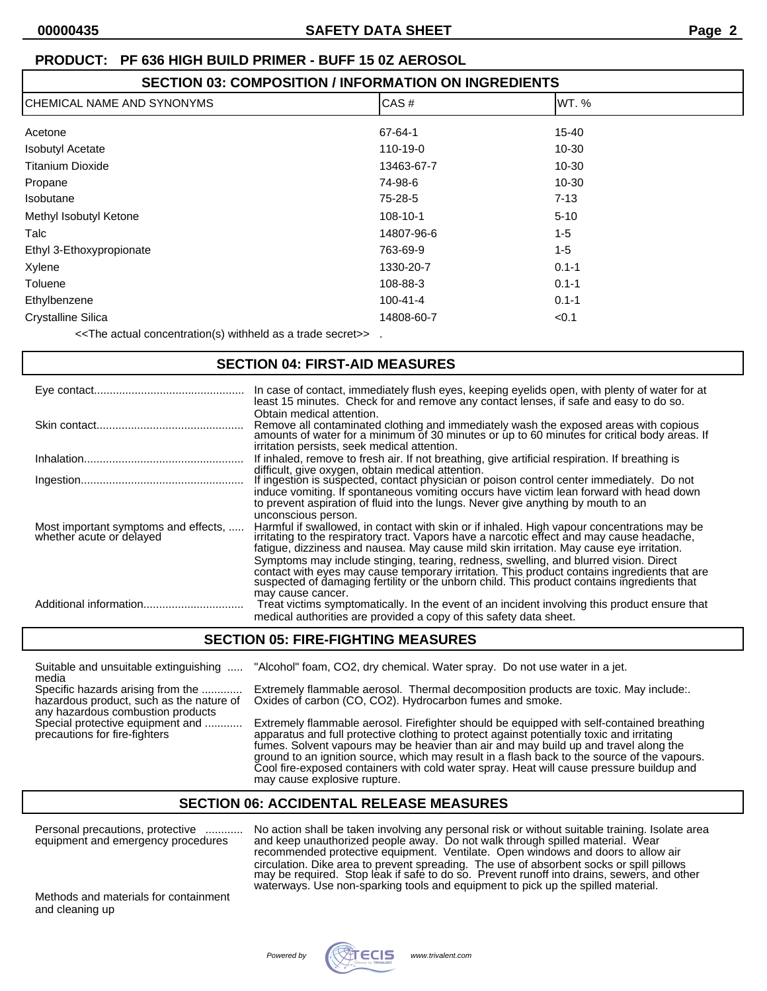| <b>SECTION 03: COMPOSITION / INFORMATION ON INGREDIENTS</b> |                |           |  |
|-------------------------------------------------------------|----------------|-----------|--|
| CHEMICAL NAME AND SYNONYMS                                  | CAS#           | IWT. %    |  |
| Acetone                                                     | 67-64-1        | 15-40     |  |
| <b>Isobutyl Acetate</b>                                     | 110-19-0       | $10 - 30$ |  |
| <b>Titanium Dioxide</b>                                     | 13463-67-7     | $10 - 30$ |  |
| Propane                                                     | 74-98-6        | $10 - 30$ |  |
| <b>Isobutane</b>                                            | 75-28-5        | $7 - 13$  |  |
| Methyl Isobutyl Ketone                                      | 108-10-1       | $5 - 10$  |  |
| Talc                                                        | 14807-96-6     | $1 - 5$   |  |
| Ethyl 3-Ethoxypropionate                                    | 763-69-9       | $1 - 5$   |  |
| Xylene                                                      | 1330-20-7      | $0.1 - 1$ |  |
| Toluene                                                     | 108-88-3       | $0.1 - 1$ |  |
| Ethylbenzene                                                | $100 - 41 - 4$ | $0.1 - 1$ |  |
| <b>Crystalline Silica</b>                                   | 14808-60-7     | < 0.1     |  |

<<The actual concentration(s) withheld as a trade secret>> .

#### **SECTION 04: FIRST-AID MEASURES**

|                                                                  | In case of contact, immediately flush eyes, keeping eyelids open, with plenty of water for at<br>least 15 minutes. Check for and remove any contact lenses, if safe and easy to do so.                                                                                                                                                                                                                                                                                                                                                                                                            |
|------------------------------------------------------------------|---------------------------------------------------------------------------------------------------------------------------------------------------------------------------------------------------------------------------------------------------------------------------------------------------------------------------------------------------------------------------------------------------------------------------------------------------------------------------------------------------------------------------------------------------------------------------------------------------|
|                                                                  | Obtain medical attention.<br>Remove all contaminated clothing and immediately wash the exposed areas with copious amounts of water for a minimum of 30 minutes or up to 60 minutes for critical body areas. If<br>irritation persists, seek medical attention.                                                                                                                                                                                                                                                                                                                                    |
|                                                                  | If inhaled, remove to fresh air. If not breathing, give artificial respiration. If breathing is                                                                                                                                                                                                                                                                                                                                                                                                                                                                                                   |
|                                                                  | difficult, give oxygen, obtain medical attention.<br>If ingestion is suspected, contact physician or poison control center immediately. Do not<br>induce vomiting. If spontaneous vomiting occurs have victim lean forward with head down<br>to prevent aspiration of fluid into the lungs. Never give anything by mouth to an                                                                                                                                                                                                                                                                    |
| Most important symptoms and effects,<br>whether acute or delayed | unconscious person.<br>Harmful if swallowed, in contact with skin or if inhaled. High vapour concentrations may be<br>irritating to the respiratory tract. Vapors have a narcotic effect and may cause headache,<br>fatigue, dizziness and nausea. May cause mild skin irritation. May cause eye irritation.<br>Symptoms may include stinging, tearing, redness, swelling, and blurred vision. Direct<br>contact with eyes may cause temporary irritation. This product contains ingredients that are suspected of damaging fertility or the unborn child. This product contains ingredients that |
|                                                                  | may cause cancer.<br>Treat victims symptomatically. In the event of an incident involving this product ensure that<br>medical authorities are provided a copy of this safety data sheet.                                                                                                                                                                                                                                                                                                                                                                                                          |

## **SECTION 05: FIRE-FIGHTING MEASURES**

Suitable and unsuitable extinguishing ..... "Alcohol" foam, CO2, dry chemical. Water spray. Do not use water in a jet. media Specific hazards arising from the .............. Extremely flammable aerosol. Thermal decomposition products are toxic. May include:.<br>hazardous product, such as the nature of Oxides of carbon (CO, CO2). Hydrocarbon fumes a Oxides of carbon (CO, CO2). Hydrocarbon fumes and smoke. any hazardous combustion products<br>Special protective equipment and ............ Special protective equipment and ............ Extremely flammable aerosol. Firefighter should be equipped with self-contained breathing<br>precautions for fire-fighters and ............. apparatus and full protective clothing apparatus and full protective clothing to protect against potentially toxic and irritating fumes. Solvent vapours may be heavier than air and may build up and travel along the ground to an ignition source, which may result in a flash back to the source of the vapours.

## **SECTION 06: ACCIDENTAL RELEASE MEASURES**

may cause explosive rupture.

Personal precautions, protective ............ No action shall be taken involving any personal risk or without suitable training. Isolate area<br>equipment and emergency procedures and keep unauthorized people away. Do not wal equipment and emergency procedures and keep unauthorized people away. Do not walk through spilled material. Wear

Methods and materials for containment and cleaning up

recommended protective equipment. Ventilate. Open windows and doors to allow air circulation. Dike area to prevent spreading. The use of absorbent socks or spill pillows may be required. Stop leak if safe to do so. Prevent runoff into drains, sewers, and other waterways. Use non-sparking tools and equipment to pick up the spilled material.

Cool fire-exposed containers with cold water spray. Heat will cause pressure buildup and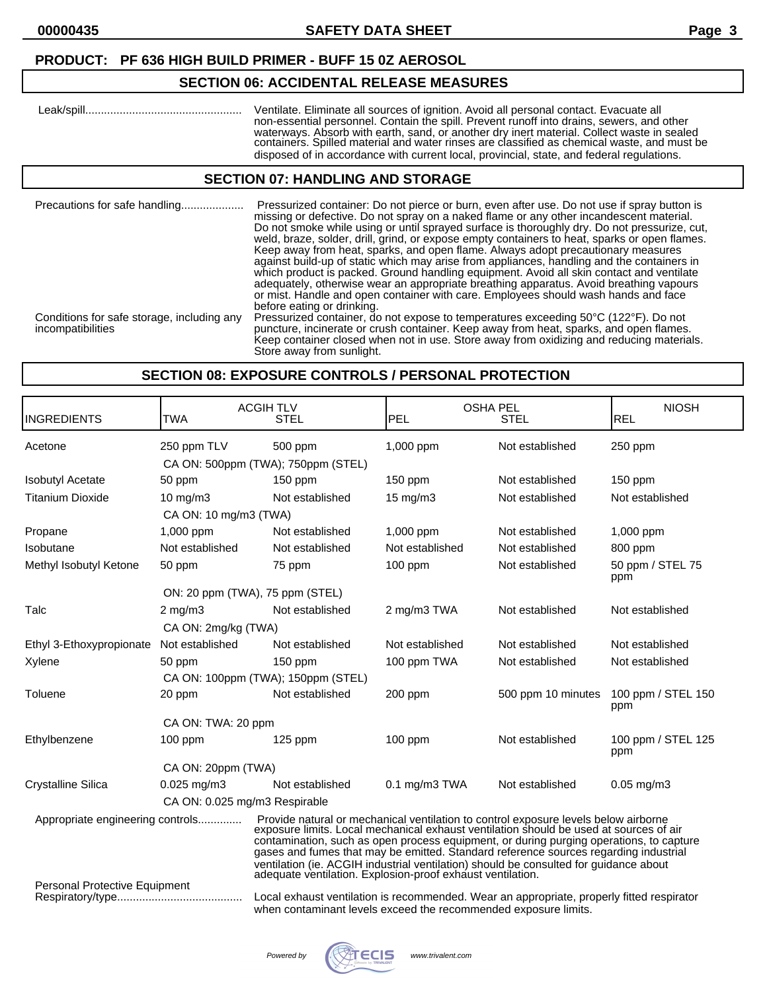# **SECTION 06: ACCIDENTAL RELEASE MEASURES**

 Leak/spill.................................................. Ventilate. Eliminate all sources of ignition. Avoid all personal contact. Evacuate all non-essential personnel. Contain the spill. Prevent runoff into drains, sewers, and other waterways. Absorb with earth, sand, or another dry inert material. Collect waste in sealed containers. Spilled material and water rinses are classified as chemical waste, and must be disposed of in accordance with current local, provincial, state, and federal regulations.

## **SECTION 07: HANDLING AND STORAGE**

| Precautions for safe handling                                   | Pressurized container: Do not pierce or burn, even after use. Do not use if spray button is<br>missing or defective. Do not spray on a naked flame or any other incandescent material.<br>Do not smoke while using or until sprayed surface is thoroughly dry. Do not pressurize, cut,<br>weld, braze, solder, drill, grind, or expose empty containers to heat, sparks or open flames.<br>Keep away from heat, sparks, and open flame. Always adopt precautionary measures<br>against build-up of static which may arise from appliances, handling and the containers in<br>which product is packed. Ground handling equipment. Avoid all skin contact and ventilate<br>adequately, otherwise wear an appropriate breathing apparatus. Avoid breathing vapours<br>or mist. Handle and open container with care. Employees should wash hands and face<br>before eating or drinking. |
|-----------------------------------------------------------------|-------------------------------------------------------------------------------------------------------------------------------------------------------------------------------------------------------------------------------------------------------------------------------------------------------------------------------------------------------------------------------------------------------------------------------------------------------------------------------------------------------------------------------------------------------------------------------------------------------------------------------------------------------------------------------------------------------------------------------------------------------------------------------------------------------------------------------------------------------------------------------------|
| Conditions for safe storage, including any<br>incompatibilities | Pressurized container, do not expose to temperatures exceeding 50°C (122°F). Do not<br>puncture, incinerate or crush container. Keep away from heat, sparks, and open flames.<br>Keep container closed when not in use. Store away from oxidizing and reducing materials.<br>Store away from sunlight.                                                                                                                                                                                                                                                                                                                                                                                                                                                                                                                                                                              |

### **SECTION 08: EXPOSURE CONTROLS / PERSONAL PROTECTION**

| <b>INGREDIENTS</b>               | <b>TWA</b>                         | <b>ACGIH TLV</b><br><b>STEL</b>                                                                                                                                                                                                                                                                                                                                                                                                                                                                                      | PEL               | <b>OSHA PEL</b><br><b>STEL</b> | <b>NIOSH</b><br><b>REL</b> |
|----------------------------------|------------------------------------|----------------------------------------------------------------------------------------------------------------------------------------------------------------------------------------------------------------------------------------------------------------------------------------------------------------------------------------------------------------------------------------------------------------------------------------------------------------------------------------------------------------------|-------------------|--------------------------------|----------------------------|
| Acetone                          | 250 ppm TLV                        | 500 ppm                                                                                                                                                                                                                                                                                                                                                                                                                                                                                                              | 1,000 ppm         | Not established                | 250 ppm                    |
|                                  | CA ON: 500ppm (TWA); 750ppm (STEL) |                                                                                                                                                                                                                                                                                                                                                                                                                                                                                                                      |                   |                                |                            |
| <b>Isobutyl Acetate</b>          | 50 ppm                             | $150$ ppm                                                                                                                                                                                                                                                                                                                                                                                                                                                                                                            | $150$ ppm         | Not established                | 150 ppm                    |
| <b>Titanium Dioxide</b>          | $10 \text{ mg/m}$ 3                | Not established                                                                                                                                                                                                                                                                                                                                                                                                                                                                                                      | $15 \text{ mg/m}$ | Not established                | Not established            |
|                                  | CA ON: 10 mg/m3 (TWA)              |                                                                                                                                                                                                                                                                                                                                                                                                                                                                                                                      |                   |                                |                            |
| Propane                          | 1,000 ppm                          | Not established                                                                                                                                                                                                                                                                                                                                                                                                                                                                                                      | 1,000 ppm         | Not established                | 1,000 ppm                  |
| Isobutane                        | Not established                    | Not established                                                                                                                                                                                                                                                                                                                                                                                                                                                                                                      | Not established   | Not established                | 800 ppm                    |
| Methyl Isobutyl Ketone           | 50 ppm                             | 75 ppm                                                                                                                                                                                                                                                                                                                                                                                                                                                                                                               | $100$ ppm         | Not established                | 50 ppm / STEL 75<br>ppm    |
|                                  |                                    | ON: 20 ppm (TWA), 75 ppm (STEL)                                                                                                                                                                                                                                                                                                                                                                                                                                                                                      |                   |                                |                            |
| Talc                             | $2 \text{ mg/m}$                   | Not established                                                                                                                                                                                                                                                                                                                                                                                                                                                                                                      | 2 mg/m3 TWA       | Not established                | Not established            |
|                                  | CA ON: 2mg/kg (TWA)                |                                                                                                                                                                                                                                                                                                                                                                                                                                                                                                                      |                   |                                |                            |
| Ethyl 3-Ethoxypropionate         | Not established                    | Not established                                                                                                                                                                                                                                                                                                                                                                                                                                                                                                      | Not established   | Not established                | Not established            |
| Xylene                           | 50 ppm                             | $150$ ppm                                                                                                                                                                                                                                                                                                                                                                                                                                                                                                            | 100 ppm TWA       | Not established                | Not established            |
|                                  | CA ON: 100ppm (TWA); 150ppm (STEL) |                                                                                                                                                                                                                                                                                                                                                                                                                                                                                                                      |                   |                                |                            |
| Toluene                          | 20 ppm                             | Not established                                                                                                                                                                                                                                                                                                                                                                                                                                                                                                      | 200 ppm           | 500 ppm 10 minutes             | 100 ppm / STEL 150<br>ppm  |
|                                  | CA ON: TWA: 20 ppm                 |                                                                                                                                                                                                                                                                                                                                                                                                                                                                                                                      |                   |                                |                            |
| Ethylbenzene                     | $100$ ppm                          | $125$ ppm                                                                                                                                                                                                                                                                                                                                                                                                                                                                                                            | $100$ ppm         | Not established                | 100 ppm / STEL 125<br>ppm  |
|                                  | CA ON: 20ppm (TWA)                 |                                                                                                                                                                                                                                                                                                                                                                                                                                                                                                                      |                   |                                |                            |
| <b>Crystalline Silica</b>        | $0.025$ mg/m3                      | Not established                                                                                                                                                                                                                                                                                                                                                                                                                                                                                                      | 0.1 mg/m3 TWA     | Not established                | $0.05$ mg/m $3$            |
| CA ON: 0.025 mg/m3 Respirable    |                                    |                                                                                                                                                                                                                                                                                                                                                                                                                                                                                                                      |                   |                                |                            |
| Appropriate engineering controls |                                    | Provide natural or mechanical ventilation to control exposure levels below airborne exposure limits. Local mechanical exhaust ventilation should be used at sources of air<br>contamination, such as open process equipment, or during purging operations, to capture<br>gases and fumes that may be emitted. Standard reference sources regarding industrial<br>ventilation (ie. ACGIH industrial ventilation) should be consulted for guidance about<br>adequate ventilation. Explosion-proof exhaust ventilation. |                   |                                |                            |
| Personal Protective Equipment    |                                    | Local exhaust ventilation is recommended. Wear an appropriate, properly fitted respirator<br>when contaminant levels exceed the recommended exposure limits.                                                                                                                                                                                                                                                                                                                                                         |                   |                                |                            |

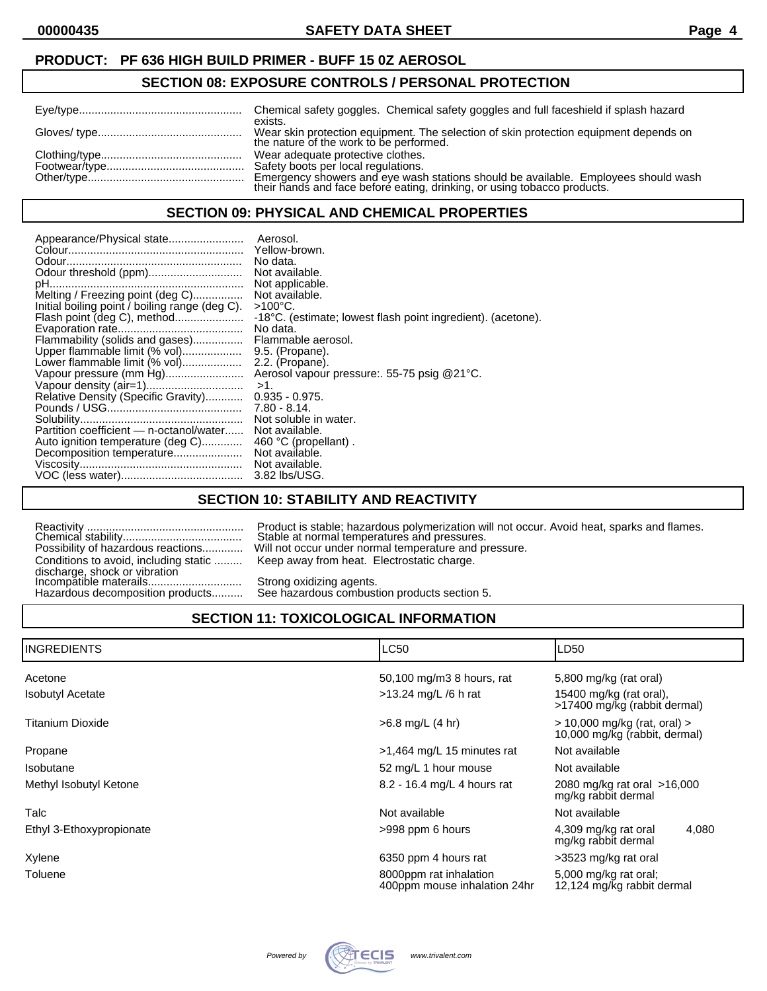#### **SECTION 08: EXPOSURE CONTROLS / PERSONAL PROTECTION**

| exists.<br>Wear skin protection equipment. The selection of skin protection equipment depends on the nature of the work to be performed.                                                         |
|--------------------------------------------------------------------------------------------------------------------------------------------------------------------------------------------------|
| Wear adequate protective clothes.<br>Emergency showers and eye wash stations should be available. Employees should wash their hands and face before eating, drinking, or using tobacco products. |

## **SECTION 09: PHYSICAL AND CHEMICAL PROPERTIES**

| Yellow-brown.<br>No data.<br>Odour threshold (ppm)<br>Not available.<br>Not applicable.<br>Melting / Freezing point (deg C)<br>Not available.<br>Initial boiling point / boiling range (deg C).<br>$>100^{\circ}$ C.<br>Flash point (deg C), method<br>No data.<br>Flammability (solids and gases)<br>Flammable aerosol.<br>Upper flammable limit (% vol)<br>9.5. (Propane).<br>Lower flammable limit (% vol)<br>2.2. (Propane).<br>Vapour pressure (mm Hg)<br>$>1$ .<br>Relative Density (Specific Gravity)<br>$0.935 - 0.975$ .<br>$7.80 - 8.14$ .<br>Not soluble in water.<br>Partition coefficient - n-octanol/water<br>Not available.<br>Auto ignition temperature (deg C)<br>460 °C (propellant).<br>Not available.<br>Decomposition temperature<br>Not available.<br>3.82 lbs/USG. | -18°C. (estimate; lowest flash point ingredient). (acetone).<br>Aerosol vapour pressure: 55-75 psig @21°C. |
|-------------------------------------------------------------------------------------------------------------------------------------------------------------------------------------------------------------------------------------------------------------------------------------------------------------------------------------------------------------------------------------------------------------------------------------------------------------------------------------------------------------------------------------------------------------------------------------------------------------------------------------------------------------------------------------------------------------------------------------------------------------------------------------------|------------------------------------------------------------------------------------------------------------|
|-------------------------------------------------------------------------------------------------------------------------------------------------------------------------------------------------------------------------------------------------------------------------------------------------------------------------------------------------------------------------------------------------------------------------------------------------------------------------------------------------------------------------------------------------------------------------------------------------------------------------------------------------------------------------------------------------------------------------------------------------------------------------------------------|------------------------------------------------------------------------------------------------------------|

## **SECTION 10: STABILITY AND REACTIVITY**

|                                                         | Product is stable; hazardous polymerization wi |
|---------------------------------------------------------|------------------------------------------------|
|                                                         | Stable at normal temperatures and pressures.   |
| Possibility of hazardous reactions                      | Will not occur under normal temperature and pr |
| Conditions to avoid, including static                   | Keep away from heat. Electrostatic charge.     |
| discharge, shock or vibration<br>Incompatible materails | Strong oxidizing agents.                       |
| Hazardous decomposition products                        | See hazardous combustion products section 5.   |

Reactivity .................................................. Product is stable; hazardous polymerization will not occur. Avoid heat, sparks and flames. Ill not occur under normal temperature and pressure. Geep away from heat. Electrostatic charge.

Hazardous decomposition products.......... See hazardous combustion products section 5.

# **SECTION 11: TOXICOLOGICAL INFORMATION**

| <b>I</b> INGREDIENTS     | <b>LC50</b>                                            | LD50                                                              |  |
|--------------------------|--------------------------------------------------------|-------------------------------------------------------------------|--|
| Acetone                  | 50,100 mg/m3 8 hours, rat                              | 5,800 mg/kg (rat oral)                                            |  |
| <b>Isobutyl Acetate</b>  | $>13.24$ mg/L /6 h rat                                 | 15400 mg/kg (rat oral),<br>>17400 mg/kg (rabbit dermal)           |  |
| Titanium Dioxide         | $>6.8$ mg/L (4 hr)                                     | $>$ 10,000 mg/kg (rat, oral) $>$<br>10,000 mg/kg (rabbit, dermal) |  |
| Propane                  | $>1,464$ mg/L 15 minutes rat                           | Not available                                                     |  |
| Isobutane                | 52 mg/L 1 hour mouse                                   | Not available                                                     |  |
| Methyl Isobutyl Ketone   | 8.2 - 16.4 mg/L 4 hours rat                            | 2080 mg/kg rat oral >16,000<br>mg/kg rabbit dermal                |  |
| Talc                     | Not available                                          | Not available                                                     |  |
| Ethyl 3-Ethoxypropionate | >998 ppm 6 hours                                       | 4,080<br>4,309 mg/kg rat oral<br>mg/kg rabbit dermal              |  |
| Xylene                   | 6350 ppm 4 hours rat                                   | >3523 mg/kg rat oral                                              |  |
| Toluene                  | 8000ppm rat inhalation<br>400ppm mouse inhalation 24hr | 5,000 mg/kg rat oral:<br>12,124 mg/kg rabbit dermal               |  |

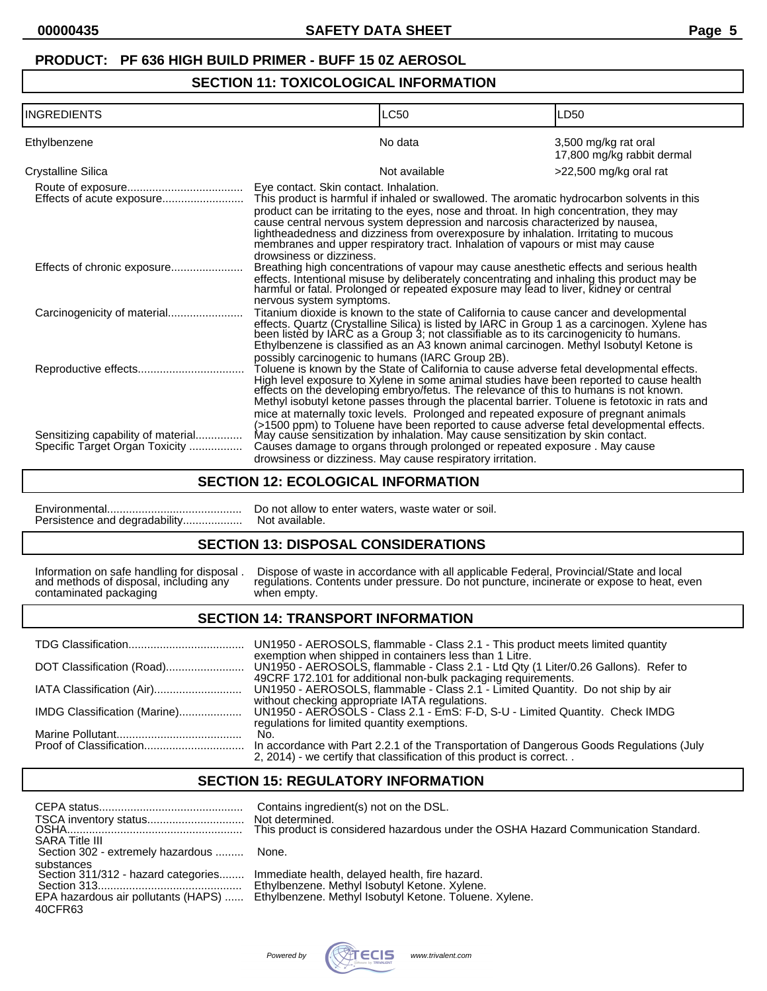# **SECTION 11: TOXICOLOGICAL INFORMATION**

| <b>INGREDIENTS</b>                                                   |                                                      | LC50                                                                                                                                                                                                                                                                                                                                                                                                                                                                   | LD50                                               |
|----------------------------------------------------------------------|------------------------------------------------------|------------------------------------------------------------------------------------------------------------------------------------------------------------------------------------------------------------------------------------------------------------------------------------------------------------------------------------------------------------------------------------------------------------------------------------------------------------------------|----------------------------------------------------|
| Ethylbenzene                                                         |                                                      | No data                                                                                                                                                                                                                                                                                                                                                                                                                                                                | 3,500 mg/kg rat oral<br>17,800 mg/kg rabbit dermal |
| <b>Crystalline Silica</b>                                            |                                                      | Not available                                                                                                                                                                                                                                                                                                                                                                                                                                                          | >22,500 mg/kg oral rat                             |
|                                                                      | Eye contact. Skin contact. Inhalation.               | This product is harmful if inhaled or swallowed. The aromatic hydrocarbon solvents in this<br>product can be irritating to the eyes, nose and throat. In high concentration, they may<br>cause central nervous system depression and narcosis characterized by nausea,<br>lightheadedness and dizziness from overexposure by inhalation. Irritating to mucous<br>membranes and upper respiratory tract. Inhalation of vapours or mist may cause                        |                                                    |
| Effects of chronic exposure                                          | drowsiness or dizziness.<br>nervous system symptoms. | Breathing high concentrations of vapour may cause anesthetic effects and serious health<br>effects. Intentional misuse by deliberately concentrating and inhaling this product may be<br>harmful or fatal. Prolonged or repeated exposure may lead to liver, kidney or central                                                                                                                                                                                         |                                                    |
|                                                                      |                                                      | Titanium dioxide is known to the state of California to cause cancer and developmental<br>effects. Quartz (Crystalline Silica) is listed by IARC in Group 1 as a carcinogen. Xylene has been listed by IARC as a Group 3; not classifiable as to its carcinogenicity to humans.<br>Ethylbenzene is classified as an A3 known animal carcinogen. Methyl Isobutyl Ketone is<br>possibly carcinogenic to humans (IARC Group 2B).                                          |                                                    |
|                                                                      |                                                      | Toluene is known by the State of California to cause adverse fetal developmental effects.<br>High level exposure to Xylene in some animal studies have been reported to cause health<br>effects on the developing embryo/fetus. The relevance of this to humans is not known.<br>Methyl isobutyl ketone passes through the placental barrier. Toluene is fetotoxic in rats and<br>mice at maternally toxic levels. Prolonged and repeated exposure of pregnant animals |                                                    |
| Sensitizing capability of material<br>Specific Target Organ Toxicity |                                                      | (>1500 ppm) to Toluene have been reported to cause adverse fetal developmental effects.<br>May cause sensitization by inhalation. May cause sensitization by skin contact.<br>Causes damage to organs through prolonged or repeated exposure. May cause<br>drowsiness or dizziness. May cause respiratory irritation.                                                                                                                                                  |                                                    |

## **SECTION 12: ECOLOGICAL INFORMATION**

Persistence and degradability..................

Environmental........................................... Do not allow to enter waters, waste water or soil.

## **SECTION 13: DISPOSAL CONSIDERATIONS**

Information on safe handling for disposal. Dispose of w<br>and methods of disposal, including any regulations. Contaminated packaging when empty.

Information on safe handling for disposal . Dispose of waste in accordance with all applicable Federal, Provincial/State and local and methods of disposal, including any regulations. Contents under pressure. Do not puncture, incinerate or expose to heat, even

# **SECTION 14: TRANSPORT INFORMATION**

|                              | UN1950 - AEROSOLS, flammable - Class 2.1 - This product meets limited quantity                                                                                                                                  |
|------------------------------|-----------------------------------------------------------------------------------------------------------------------------------------------------------------------------------------------------------------|
|                              | exemption when shipped in containers less than 1 Litre.<br>UN1950 - AEROSOLS, flammable - Class 2.1 - Ltd Qty (1 Liter/0.26 Gallons). Refer to<br>49CRF 172.101 for additional non-bulk packaging requirements. |
|                              | UN1950 - AEROSOLS, flammable - Class 2.1 - Limited Quantity. Do not ship by air                                                                                                                                 |
| IMDG Classification (Marine) | without checking appropriate IATA regulations.<br>UN1950 - AEROSOLS - Class 2.1 - EmS: F-D, S-U - Limited Quantity. Check IMDG<br>regulations for limited quantity exemptions.                                  |
|                              | No.                                                                                                                                                                                                             |
|                              | In accordance with Part 2.2.1 of the Transportation of Dangerous Goods Regulations (July<br>2, 2014) - we certify that classification of this product is correct                                                |

# **SECTION 15: REGULATORY INFORMATION**

| <b>SARA Title III</b>                                        | Contains ingredient(s) not on the DSL.<br>Not determined.<br>This product is considered hazardous under the OSHA Hazard Communication Standard.                                                |
|--------------------------------------------------------------|------------------------------------------------------------------------------------------------------------------------------------------------------------------------------------------------|
| Section 302 - extremely hazardous                            | None.                                                                                                                                                                                          |
| substances<br>Section 311/312 - hazard categories<br>40CFR63 | Immediate health, delayed health, fire hazard.<br>Ethylbenzene. Methyl Isobutyl Ketone. Xylene.<br>EPA hazardous air pollutants (HAPS)  Ethylbenzene. Methyl Isobutyl Ketone. Toluene. Xylene. |